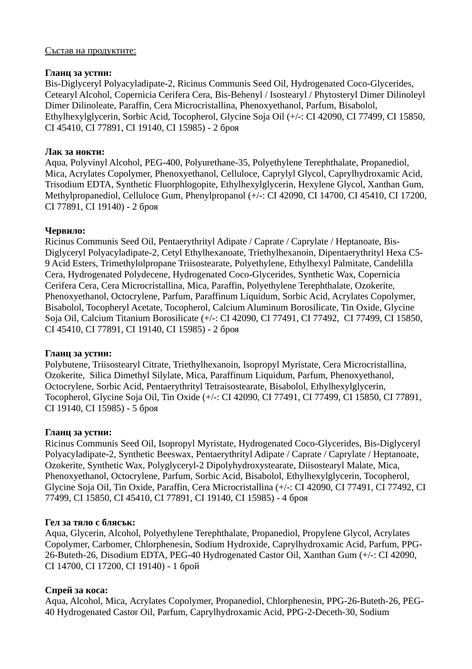#### Състав на продуктите:

#### **Гланц за устни:**

Bis-Diglyceryl Polyacyladipate-2, Ricinus Communis Seed Oil, Hydrogenated Coco-Glycerides, Cetearyl Alcohol, Copernicia Cerifera Cera, Bis-Behenyl / Isostearyl / Phytosteryl Dimer Dilinoleyl Dimer Dilinoleate, Paraffin, Cera Microcristallina, Phenoxyethanol, Parfum, Bisabolol, Ethylhexylglycerin, Sorbic Acid, Tocopherol, Glycine Soja Oil (+/-: CI 42090, CI 77499, CI 15850, CI 45410, CI 77891, CI 19140, CI 15985) - 2 броя

## **Лак за нокти:**

Aqua, Polyvinyl Alcohol, PEG-400, Polyurethane-35, Polyethylene Terephthalate, Propanediol, Mica, Acrylates Copolymer, Phenoxyethanol, Celluloce, Caprylyl Glycol, Caprylhydroxamic Acid, Trisodium EDTA, Synthetic Fluorphlogopite, Ethylhexylglycerin, Hexylene Glycol, Xanthan Gum, Methylpropanediol, Celluloce Gum, Phenylpropanol (+/-: CI 42090, CI 14700, CI 45410, CI 17200, CI 77891, CI 19140) - 2 броя

## **Червило:**

Ricinus Communis Seed Oil, Pentaerythrityl Adipate / Caprate / Caprylate / Heptanoate, Bis-Diglyceryl Polyacyladipate-2, Cetyl Ethylhexanoate, Triethylhexanoin, Dipentaerythrityl Hexa C5- 9 Acid Esters, Trimethylolpropane Triisostearate, Polyethylene, Ethylhexyl Palmitate, Candelilla Cera, Hydrogenated Polydecene, Hydrogenated Coco-Glycerides, Synthetic Wax, Copernicia Cerifera Cera, Cera Microcristallina, Mica, Paraffin, Polyethylene Terephthalate, Ozokerite, Phenoxyethanol, Octocrylene, Parfum, Paraffinum Liquidum, Sorbic Acid, Acrylates Copolymer, Bisabolol, Tocopheryl Acetate, Tocopherol, Calcium Aluminum Borosilicate, Tin Oxide, Glycine Soja Oil, Calcium Titanium Borosilicate (+/-: CI 42090, CI 77491, CI 77492, CI 77499, CI 15850, CI 45410, CI 77891, CI 19140, CI 15985) - 2 броя

#### **Гланц за устни:**

Polybutene, Triisostearyl Citrate, Triethylhexanoin, Isopropyl Myristate, Cera Microcristallina, Ozokerite, Silica Dimethyl Silylate, Mica, Paraffinum Liquidum, Parfum, Phenoxyethanol, Octocrylene, Sorbic Acid, Pentaerythrityl Tetraisostearate, Bisabolol, Ethylhexylglycerin, Tocopherol, Glycine Soja Oil, Tin Oxide (+/-: CI 42090, CI 77491, CI 77499, CI 15850, CI 77891, CI 19140, CI 15985) - 5 броя

#### **Гланц за устни:**

Ricinus Communis Seed Oil, Isopropyl Myristate, Hydrogenated Coco-Glycerides, Bis-Diglyceryl Polyacyladipate-2, Synthetic Beeswax, Pentaerythrityl Adipate / Caprate / Caprylate / Heptanoate, Ozokerite, Synthetic Wax, Polyglyceryl-2 Dipolyhydroxystearate, Diisostearyl Malate, Mica, Phenoxyethanol, Octocrylene, Parfum, Sorbic Acid, Bisabolol, Ethylhexylglycerin, Tocopherol, Glycine Soja Oil, Tin Oxide, Paraffin, Cera Microcristallina (+/-: CI 42090, CI 77491, CI 77492, CI 77499, CI 15850, CI 45410, CI 77891, CI 19140, CI 15985) - 4 броя

#### **Гел за тяло с блясък:**

Aqua, Glycerin, Alcohol, Polyethylene Terephthalate, Propanediol, Propylene Glycol, Acrylates Copolymer, Carbomer, Chlorphenesin, Sodium Hydroxide, Caprylhydroxamic Acid, Parfum, PPG-26-Buteth-26, Disodium EDTA, PEG-40 Hydrogenated Castor Oil, Xanthan Gum (+/-: CI 42090, CI 14700, CI 17200, CI 19140) - 1 брой

# **Спрей за коса:**

Aqua, Alcohol, Mica, Acrylates Copolymer, Propanediol, Chlorphenesin, PPG-26-Buteth-26, PEG-40 Hydrogenated Castor Oil, Parfum, Caprylhydroxamic Acid, PPG-2-Deceth-30, Sodium